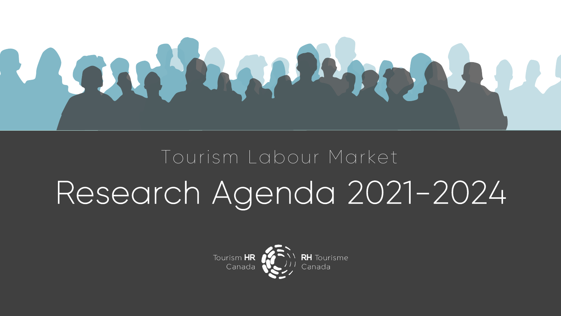

# Research Agenda 2021-2024 Tourism Labour Market

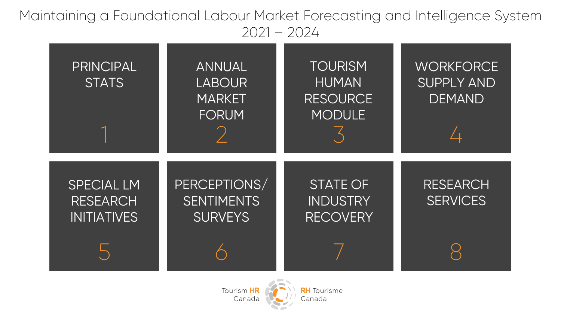Maintaining a Foundational Labour Market Forecasting and Intelligence System 2021 – 2024



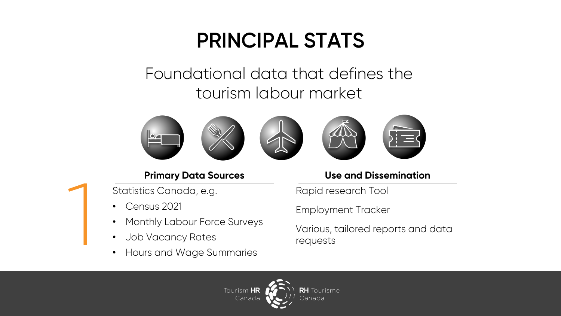## **PRINCIPAL STATS**

#### Foundational data that defines the tourism labour market







#### **Primary Data Sources**

Statistics Canada, e.g.

• Census 2021

1

- Monthly Labour Force Surveys
- Job Vacancy Rates
- Hours and Wage Summaries

#### **Use and Dissemination**

Rapid research Tool

Employment Tracker

Various, tailored reports and data requests

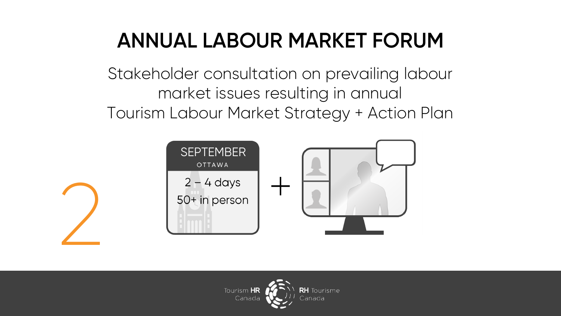# **ANNUAL LABOUR MARKET FORUM**

Stakeholder consultation on prevailing labour market issues resulting in annual Tourism Labour Market Strategy + Action Plan



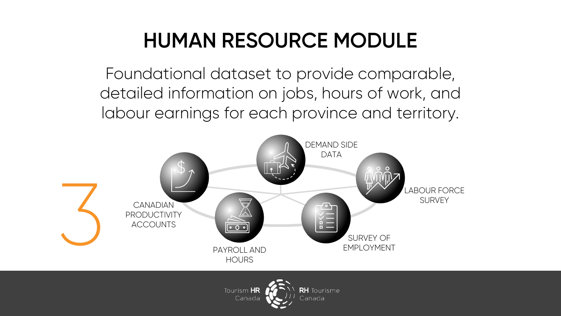# **HUMAN RESOURCE MODULE**

Foundational dataset to provide comparable, detailed information on jobs, hours of work, and labour earnings for each province and territory.



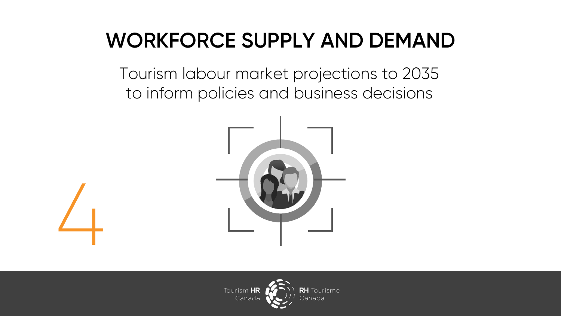# **WORKFORCE SUPPLY AND DEMAND**

Tourism labour market projections to 2035 to inform policies and business decisions





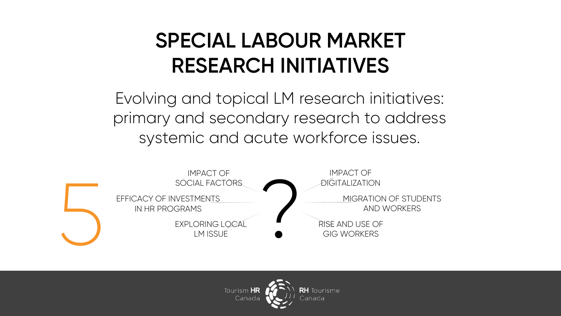## **SPECIAL LABOUR MARKET RESEARCH INITIATIVES**

Evolving and topical LM research initiatives: primary and secondary research to address systemic and acute workforce issues.



IMPACT OF DIGITALIZATION

AND WORKERS

RISE AND USE OF GIG WORKERS

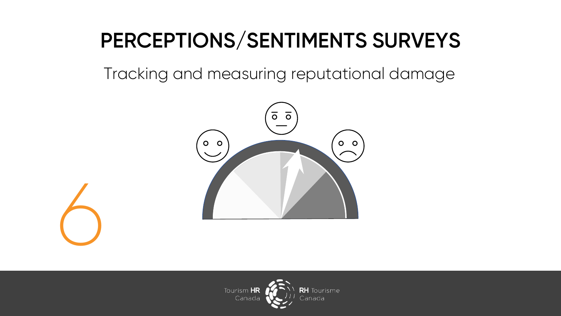# **PERCEPTIONS/SENTIMENTS SURVEYS**

Tracking and measuring reputational damage



6

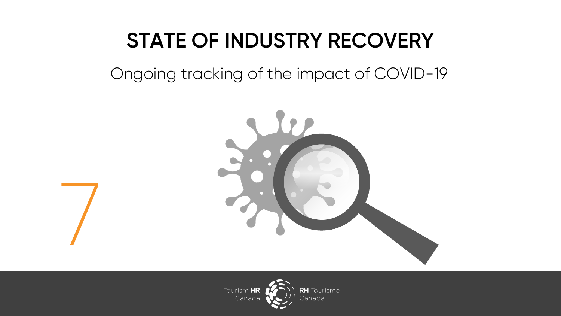# **STATE OF INDUSTRY RECOVERY**

Ongoing tracking of the impact of COVID-19



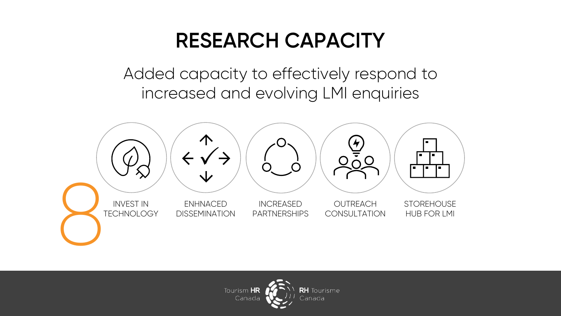#### **RESEARCH CAPACITY**

Added capacity to effectively respond to increased and evolving LMI enquiries



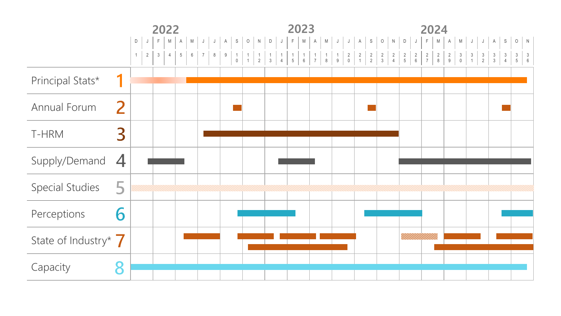